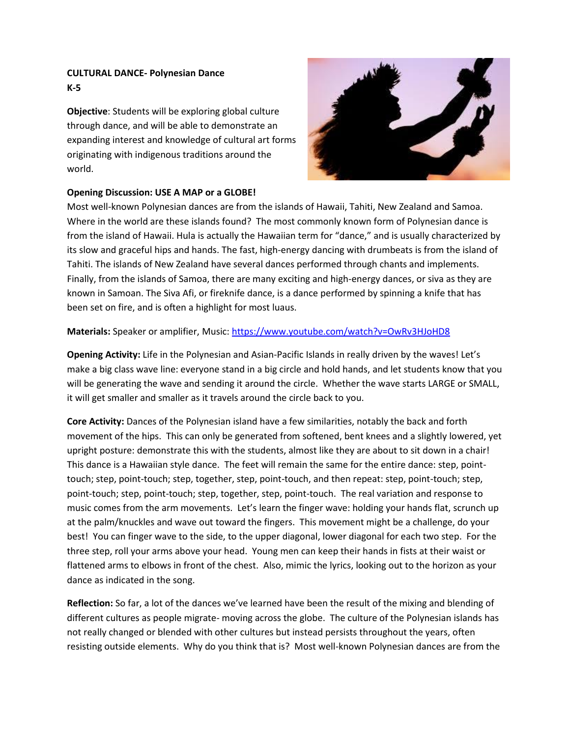## **CULTURAL DANCE- Polynesian Dance K-5**

**Objective**: Students will be exploring global culture through dance, and will be able to demonstrate an expanding interest and knowledge of cultural art forms originating with indigenous traditions around the world.



## **Opening Discussion: USE A MAP or a GLOBE!**

Most well-known Polynesian dances are from the islands of Hawaii, Tahiti, New Zealand and Samoa. Where in the world are these islands found? The most commonly known form of Polynesian dance is from the island of Hawaii. Hula is actually the Hawaiian term for "dance," and is usually characterized by its slow and graceful hips and hands. The fast, high-energy dancing with drumbeats is from the island of Tahiti. The islands of New Zealand have several dances performed through chants and implements. Finally, from the islands of Samoa, there are many exciting and high-energy dances, or siva as they are known in Samoan. The Siva Afi, or fireknife dance, is a dance performed by spinning a knife that has been set on fire, and is often a highlight for most luaus.

## **Materials:** Speaker or amplifier, Music: <https://www.youtube.com/watch?v=OwRv3HJoHD8>

**Opening Activity:** Life in the Polynesian and Asian-Pacific Islands in really driven by the waves! Let's make a big class wave line: everyone stand in a big circle and hold hands, and let students know that you will be generating the wave and sending it around the circle. Whether the wave starts LARGE or SMALL, it will get smaller and smaller as it travels around the circle back to you.

**Core Activity:** Dances of the Polynesian island have a few similarities, notably the back and forth movement of the hips. This can only be generated from softened, bent knees and a slightly lowered, yet upright posture: demonstrate this with the students, almost like they are about to sit down in a chair! This dance is a Hawaiian style dance. The feet will remain the same for the entire dance: step, pointtouch; step, point-touch; step, together, step, point-touch, and then repeat: step, point-touch; step, point-touch; step, point-touch; step, together, step, point-touch. The real variation and response to music comes from the arm movements. Let's learn the finger wave: holding your hands flat, scrunch up at the palm/knuckles and wave out toward the fingers. This movement might be a challenge, do your best! You can finger wave to the side, to the upper diagonal, lower diagonal for each two step. For the three step, roll your arms above your head. Young men can keep their hands in fists at their waist or flattened arms to elbows in front of the chest. Also, mimic the lyrics, looking out to the horizon as your dance as indicated in the song.

**Reflection:** So far, a lot of the dances we've learned have been the result of the mixing and blending of different cultures as people migrate- moving across the globe. The culture of the Polynesian islands has not really changed or blended with other cultures but instead persists throughout the years, often resisting outside elements. Why do you think that is? Most well-known Polynesian dances are from the